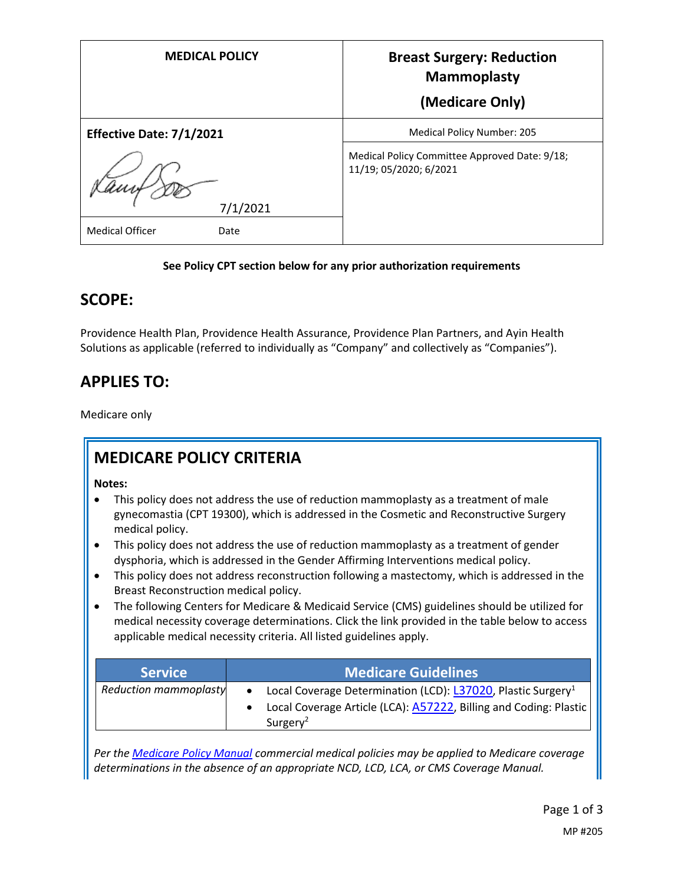| <b>MEDICAL POLICY</b>          | <b>Breast Surgery: Reduction</b><br><b>Mammoplasty</b><br>(Medicare Only) |
|--------------------------------|---------------------------------------------------------------------------|
| Effective Date: 7/1/2021       | <b>Medical Policy Number: 205</b>                                         |
| 7/1/2021                       | Medical Policy Committee Approved Date: 9/18;<br>11/19; 05/2020; 6/2021   |
| <b>Medical Officer</b><br>Date |                                                                           |

#### **See Policy CPT section below for any prior authorization requirements**

## **SCOPE:**

Providence Health Plan, Providence Health Assurance, Providence Plan Partners, and Ayin Health Solutions as applicable (referred to individually as "Company" and collectively as "Companies").

# **APPLIES TO:**

Medicare only

## **MEDICARE POLICY CRITERIA**

**Notes:**

- This policy does not address the use of reduction mammoplasty as a treatment of male gynecomastia (CPT 19300), which is addressed in the Cosmetic and Reconstructive Surgery medical policy.
- This policy does not address the use of reduction mammoplasty as a treatment of gender dysphoria, which is addressed in the Gender Affirming Interventions medical policy.
- This policy does not address reconstruction following a mastectomy, which is addressed in the Breast Reconstruction medical policy.
- The following Centers for Medicare & Medicaid Service (CMS) guidelines should be utilized for medical necessity coverage determinations. Click the link provided in the table below to access applicable medical necessity criteria. All listed guidelines apply.

| <b>Service</b>               | <b>Medicare Guidelines</b>                                                                                                                                                      |
|------------------------------|---------------------------------------------------------------------------------------------------------------------------------------------------------------------------------|
| <b>Reduction mammoplasty</b> | • Local Coverage Determination (LCD): L37020, Plastic Surgery <sup>1</sup><br>Local Coverage Article (LCA): <b>A57222</b> , Billing and Coding: Plastic<br>Surgery <sup>2</sup> |

*Per th[e Medicare Policy Manual](https://s3-us-west-2.amazonaws.com/images.provhealth.org/Providence-Images/PHP_PHA_Medical_Policy_CMS_Manual.pdf) commercial medical policies may be applied to Medicare coverage determinations in the absence of an appropriate NCD, LCD, LCA, or CMS Coverage Manual.*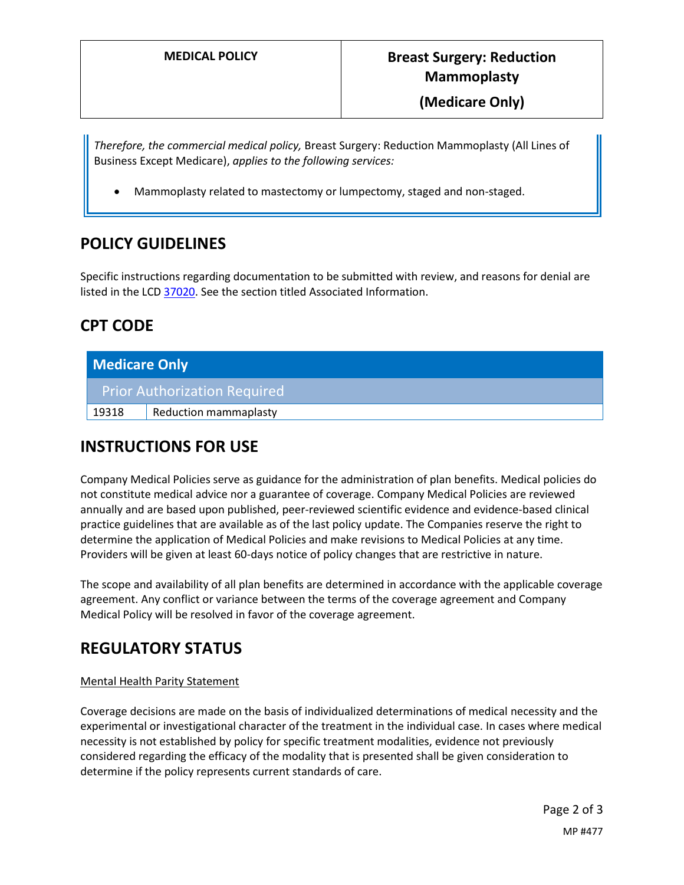*Therefore, the commercial medical policy,* Breast Surgery: Reduction Mammoplasty (All Lines of Business Except Medicare), *applies to the following services:*

Mammoplasty related to mastectomy or lumpectomy, staged and non-staged.

### **POLICY GUIDELINES**

Specific instructions regarding documentation to be submitted with review, and reasons for denial are listed in the LC[D 37020.](https://www.cms.gov/medicare-coverage-database/details/lcd-details.aspx?LCDId=37020) See the section titled Associated Information.

## **CPT CODE**

| <b>Medicare Only</b> |                              |
|----------------------|------------------------------|
|                      | Prior Authorization Required |
| 19318                | <b>Reduction mammaplasty</b> |

## **INSTRUCTIONS FOR USE**

Company Medical Policies serve as guidance for the administration of plan benefits. Medical policies do not constitute medical advice nor a guarantee of coverage. Company Medical Policies are reviewed annually and are based upon published, peer-reviewed scientific evidence and evidence-based clinical practice guidelines that are available as of the last policy update. The Companies reserve the right to determine the application of Medical Policies and make revisions to Medical Policies at any time. Providers will be given at least 60-days notice of policy changes that are restrictive in nature.

The scope and availability of all plan benefits are determined in accordance with the applicable coverage agreement. Any conflict or variance between the terms of the coverage agreement and Company Medical Policy will be resolved in favor of the coverage agreement.

## **REGULATORY STATUS**

#### Mental Health Parity Statement

Coverage decisions are made on the basis of individualized determinations of medical necessity and the experimental or investigational character of the treatment in the individual case. In cases where medical necessity is not established by policy for specific treatment modalities, evidence not previously considered regarding the efficacy of the modality that is presented shall be given consideration to determine if the policy represents current standards of care.